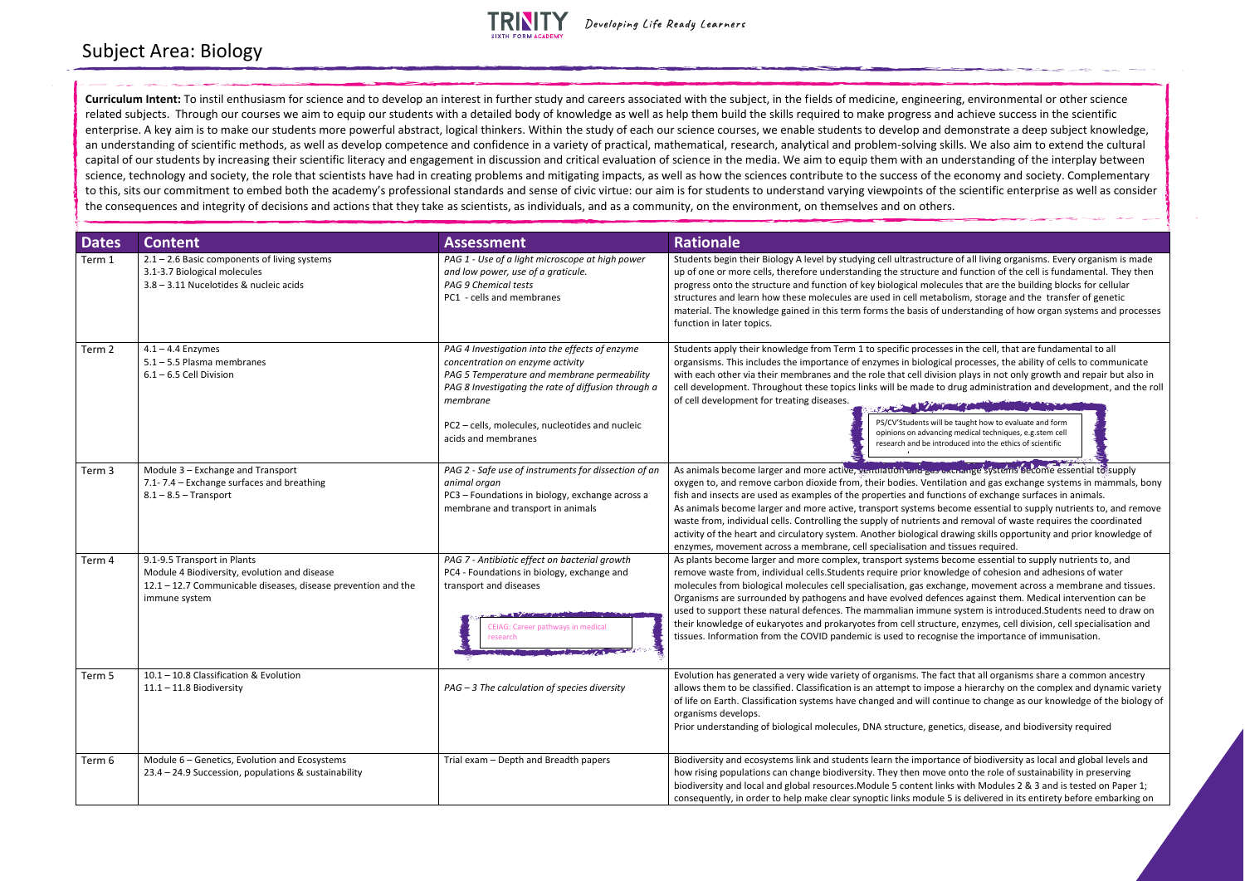## **TRINITY**

As animals become larger and more active, ventilation and gas exchange systems become essential to supply tilation and gas exchange systems in mammals, bony nctions of exchange surfaces in animals. become essential to supply nutrients to, and remove and removal of waste requires the coordinated

I drawing skills opportunity and prior knowledge of nd tissues required.

become essential to supply nutrients to, and bremove effrom and adhesions of water prior tells. change, movement across a membrane and tissues. fences against them. Medical intervention can be une system is introduced. Students need to draw on tture, enzymes, cell division, cell specialisation and gnise the importance of immunisation.

fact that all organisms share a common ancestry pose a hierarchy on the complex and dynamic variety ontinue to change as our knowledge of the biology of

enetics, disease, and biodiversity required

tance of biodiversity as local and global levels and ve onto the role of sustainability in preserving links with Modules 2 & 3 and is tested on Paper 1; lle 5 is delivered in its entirety before embarking on

| <b>Dates</b> | <b>Content</b>                                                                                                                                                | <b>Assessment</b>                                                                                                                                                                                                                                                              | <b>Rationale</b>                                                                                                                                                                                                                                                                                                                                                                                                                                                                                                                                        |
|--------------|---------------------------------------------------------------------------------------------------------------------------------------------------------------|--------------------------------------------------------------------------------------------------------------------------------------------------------------------------------------------------------------------------------------------------------------------------------|---------------------------------------------------------------------------------------------------------------------------------------------------------------------------------------------------------------------------------------------------------------------------------------------------------------------------------------------------------------------------------------------------------------------------------------------------------------------------------------------------------------------------------------------------------|
| Term 1       | $2.1 - 2.6$ Basic components of living systems<br>3.1-3.7 Biological molecules<br>3.8 - 3.11 Nucelotides & nucleic acids                                      | PAG 1 - Use of a light microscope at high power<br>and low power, use of a graticule.<br>PAG 9 Chemical tests<br>PC1 - cells and membranes                                                                                                                                     | Students begin their Biology A level by studying cell ultrastructure of all liv<br>up of one or more cells, therefore understanding the structure and functic<br>progress onto the structure and function of key biological molecules that a<br>structures and learn how these molecules are used in cell metabolism, sto<br>material. The knowledge gained in this term forms the basis of understand<br>function in later topics.                                                                                                                     |
| Term 2       | $4.1 - 4.4$ Enzymes<br>5.1 - 5.5 Plasma membranes<br>$6.1 - 6.5$ Cell Division                                                                                | PAG 4 Investigation into the effects of enzyme<br>concentration on enzyme activity<br>PAG 5 Temperature and membrane permeability<br>PAG 8 Investigating the rate of diffusion through a<br>membrane<br>PC2 - cells, molecules, nucleotides and nucleic<br>acids and membranes | Students apply their knowledge from Term 1 to specific processes in the co<br>organsisms. This includes the importance of enzymes in biological process<br>with each other via their membranes and the role that cell division plays in<br>cell development. Throughout these topics links will be made to drug adm<br>of cell development for treating diseases.<br>PS/CV'Students will be taught ho<br>opinions on advancing medical te<br>research and be introduced into                                                                            |
| Term 3       | Module 3 - Exchange and Transport<br>7.1-7.4 - Exchange surfaces and breathing<br>$8.1 - 8.5$ - Transport                                                     | PAG 2 - Safe use of instruments for dissection of an<br>animal organ<br>PC3 - Foundations in biology, exchange across a<br>membrane and transport in animals                                                                                                                   | As animals become larger and more active, venulation and gas exchange's<br>oxygen to, and remove carbon dioxide from, their bodies. Ventilation and<br>fish and insects are used as examples of the properties and functions of ex-<br>As animals become larger and more active, transport systems become ess<br>waste from, individual cells. Controlling the supply of nutrients and remov<br>activity of the heart and circulatory system. Another biological drawing ski<br>enzymes, movement across a membrane, cell specialisation and tissues re |
| Term 4       | 9.1-9.5 Transport in Plants<br>Module 4 Biodiversity, evolution and disease<br>12.1 - 12.7 Communicable diseases, disease prevention and the<br>immune system | PAG 7 - Antibiotic effect on bacterial growth<br>PC4 - Foundations in biology, exchange and<br>transport and diseases<br><b>CEIAG: Career pathways in medical</b><br>research                                                                                                  | As plants become larger and more complex, transport systems become es<br>remove waste from, individual cells. Students require prior knowledge of c<br>molecules from biological molecules cell specialisation, gas exchange, mov<br>Organisms are surrounded by pathogens and have evolved defences again<br>used to support these natural defences. The mammalian immune system i<br>their knowledge of eukaryotes and prokaryotes from cell structure, enzym<br>tissues. Information from the COVID pandemic is used to recognise the im             |
| Term 5       | 10.1 - 10.8 Classification & Evolution<br>$11.1 - 11.8$ Biodiversity                                                                                          | $PAG - 3$ The calculation of species diversity                                                                                                                                                                                                                                 | Evolution has generated a very wide variety of organisms. The fact that all<br>allows them to be classified. Classification is an attempt to impose a hieral<br>of life on Earth. Classification systems have changed and will continue to c<br>organisms develops.<br>Prior understanding of biological molecules, DNA structure, genetics, disea                                                                                                                                                                                                      |
| Term 6       | Module 6 - Genetics, Evolution and Ecosystems<br>23.4 - 24.9 Succession, populations & sustainability                                                         | Trial exam - Depth and Breadth papers                                                                                                                                                                                                                                          | Biodiversity and ecosystems link and students learn the importance of bio<br>how rising populations can change biodiversity. They then move onto the<br>biodiversity and local and global resources. Module 5 content links with M<br>consequently, in order to help make clear synoptic links module 5 is delive                                                                                                                                                                                                                                       |

ture of all living organisms. Every organism is made e and function of the cell is fundamental. They then ecules that are the building blocks for cellular abolism, storage and the transfer of genetic f understanding of how organ systems and processes

sses in the cell, that are fundamental to all gical processes, the ability of cells to communicate ision plays in not only growth and repair but also in to drug administration and development, and the roll

ill be taught how to evaluate and form ocing medical techniques, e.g.stem cell ntroduced into the ethics of scientific



## Subject Area: Biology

**Curriculum Intent:** To instil enthusiasm for science and to develop an interest in further study and careers associated with the subject, in the fields of medicine, engineering, environmental or other science related subjects. Through our courses we aim to equip our students with a detailed body of knowledge as well as help them build the skills required to make progress and achieve success in the scientific enterprise. A key aim is to make our students more powerful abstract, logical thinkers. Within the study of each our science courses, we enable students to develop and demonstrate a deep subject knowledge, an understanding of scientific methods, as well as develop competence and confidence in a variety of practical, mathematical, research, analytical and problem-solving skills. We also aim to extend the cultural capital of our students by increasing their scientific literacy and engagement in discussion and critical evaluation of science in the media. We aim to equip them with an understanding of the interplay between science, technology and society, the role that scientists have had in creating problems and mitigating impacts, as well as how the sciences contribute to the success of the economy and society. Complementary to this, sits our commitment to embed both the academy's professional standards and sense of civic virtue: our aim is for students to understand varying viewpoints of the scientific enterprise as well as consider the consequences and integrity of decisions and actions that they take as scientists, as individuals, and as a community, on the environment, on themselves and on others.